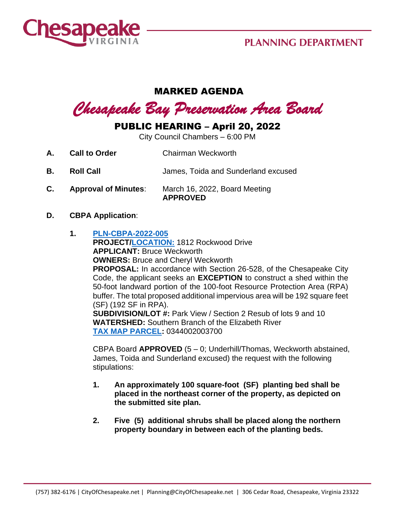

## **PLANNING DEPARTMENT**

### MARKED AGENDA

# *Chesapeake Bay Preservation Area Board*

## PUBLIC HEARING – April 20, 2022

City Council Chambers – 6:00 PM

- **A. Call to Order Chairman Weckworth**
- **B. Roll Call** James, Toida and Sunderland excused
- **C. Approval of Minutes**: March 16, 2022, Board Meeting **APPROVED**

#### **D. CBPA Application**:

**1. [PLN-CBPA-2022-005](https://aca-prod.accela.com/CHESAPEAKE/Default.aspx) PROJECT[/LOCATION:](https://www.cityofchesapeake.net/Assets/supporting_docs/actions_cbpa/2022/2022-04-20/pln-cbpa-2022-005_location_map.jpg)** 1812 Rockwood Drive **APPLICANT:** Bruce Weckworth **OWNERS:** Bruce and Cheryl Weckworth **PROPOSAL:** In accordance with Section 26-528, of the Chesapeake City Code, the applicant seeks an **EXCEPTION** to construct a shed within the 50-foot landward portion of the 100-foot Resource Protection Area (RPA) buffer. The total proposed additional impervious area will be 192 square feet (SF) (192 SF in RPA). **SUBDIVISION/LOT #:** Park View / Section 2 Resub of lots 9 and 10 **WATERSHED:** Southern Branch of the Elizabeth River **[TAX MAP PARCEL:](https://www.cityofchesapeake.net/Assets/supporting_docs/actions_cbpa/2022/2022-04-20/pln-cbpa-2022-005_aerial.jpg)** 0344002003700

CBPA Board **APPROVED** (5 – 0; Underhill/Thomas, Weckworth abstained, James, Toida and Sunderland excused) the request with the following stipulations:

- **1. An approximately 100 square-foot (SF) planting bed shall be placed in the northeast corner of the property, as depicted on the submitted site plan.**
- **2. Five (5) additional shrubs shall be placed along the northern property boundary in between each of the planting beds.**